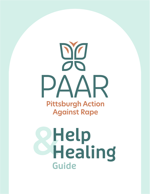

# **&Help Healing Guide**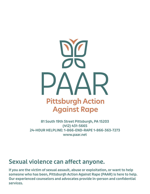

**81 South 19th Street Pittsburgh, PA 15203 (412) 431-5665 24-HOUR HELPLINE: 1-866-END-RAPE 1-866-363-7273 www.paar.net**

### **Sexual violence can affect anyone.**

**If you are the victim of sexual assault, abuse or exploitation, or want to help someone who has been, Pittsburgh Action Against Rape (PAAR) is here to help. Our experienced counselors and advocates provide in-person and confidential services.**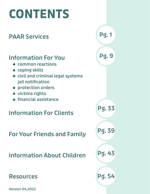# **CONTENTS**

## **PAAR Services**

### **Information For You**

- **common reactions**
- **coping skills**
- **civil and criminal legal systems jail notification**
- **protection orders**
- **victims rights**
- **financial assistance**

### **Information For Clients**

**For Your Friends and Family**

**Information About Children**

### **Resources**

**Version 04.2022**

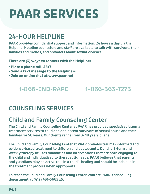# **PAAR SERVICES**

## **24-HOUR HELPLINE**

**PAAR provides confidential support and information, 24 hours a day via the Helpline. Helpline counselors and staff are available to talk with survivors, their families and friends, and providers about sexual violence.** 

**There are (3) ways to connect with the Helpline:**

- **Place a phone call, 24/7**
- **Send a text message to the Helpline #**
- **Join an online chat at www.paar.net**

### **1-866-END-RAPE 1-866-363-7273**

## **COUNSELING SERVICES**

## **Child and Family Counseling Center**

**The Child and Family Counseling Center at PAAR has provided specialized trauma treatment services to child and adolescent survivors of sexual abuse and their families for 50 years. Our clients range from 3- 18 years of age.**

**The Child and Family Counseling Center at PAAR provides trauma- informed and evidence-based treatment to children and adolescents. Our short-term and weekly therapy utilizes modalities and interventions that are both engaging to the child and individualized to therapeutic needs. PAAR believes that parents and guardians play an active role in a child's healing and should be included in the treatment process when appropriate.**

**To reach the Child and Family Counseling Center, contact PAAR's scheduling department at (412) 431-5665 x5.**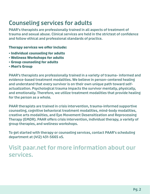### **Counseling services for adults**

**PAAR's therapists are professionally trained in all aspects of treatment of trauma and sexual abuse. Clinical services are held in the strictest of confidence and follow ethical and professional standards of practice.**

### **Therapy services we offer include:**

- **Individual counseling for adults**
- **Wellness Workshops for adults**
- **Group counseling for adults**
- **Men's Group**

**PAAR's therapists are professionally trained in a variety of trauma- informed and evidence-based treatment modalities. We believe in person-centered healing and understand that every survivor is on their own unique path toward selfactualization. Psychological trauma impacts the survivor mentally, physically, and emotionally. Therefore, we utilize treatment modalities that provide healing for the person as a whole.**

**PAAR therapists are trained in crisis intervention, trauma-informed supportive counseling, cognitive behavioral treatment modalities, mind-body modalities, creative arts modalities, and Eye Movement Desensitization and Reprocessing Therapy (EMDR). PAAR offers crisis intervention, individual therapy, a variety of group therapies, and wellness workshops.**

**To get started with therapy or counseling services, contact PAAR's scheduling department at (412) 431-5665 x5.**

### **Visit paar.net for more information about our services.**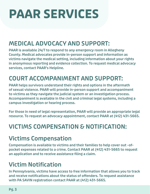# **PAAR SERVICES**

## **MEDICAL ADVOCACY AND SUPPORT:**

**PAAR is available 24/7 to respond to any emergency room in Allegheny County. Medical advocates provide in-person support and information as victims navigate the medical setting, including information about your rights in anonymous reporting and evidence collection. To request medical advocacy services, contact PAAR's Helpline.**

## **COURT ACCOMPANIMENT AND SUPPORT:**

**PAAR helps survivors understand their rights and options in the aftermath of sexual violence. PAAR will provide in-person support and accompaniment to victims as they navigate the judicial system or an investigation process. Accompaniment is available in the civil and criminal legal systems, including a campus investigation or hearing process.**

**For those in need of legal representation, PAAR will provide an appropriate legal resource. To request an advocacy appointment, contact PAAR at (412) 431-5665.**

# **VICTIMS COMPENSATION & NOTIFICATION:**

## **Victims Compensation**

**Compensation is available to victims and their families to help cover out -ofpocket expenses related to a crime. Contact PAAR at (412) 431-5665 to request an application and to receive assistance filing a claim.**

## **Victim Notification**

**In Pennsylvania, victims have access to free information that allows you to track and receive notifications about the status of offenders. To request assistance with PA SAVIN registration contact PAAR at (412) 431-5665.**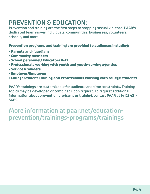## **PREVENTION & EDUCATION:**

**Prevention and training are the first steps to stopping sexual violence. PAAR's dedicated team serves individuals, communities, businesses, volunteers, schools, and more.**

**Prevention programs and training are provided to audiences including:**

- **Parents and guardians**
- **Community members**
- **School personnel/ Educators K-12**
- **Professionals working with youth and youth-serving agencies**
- **Service Providers**
- **Employer/Employee**
- **College Student Training and Professionals working with college students**

**PAAR's trainings are customizable for audience and time constraints. Training topics may be developed or combined upon request. To request additional information about prevention programs or training, contact PAAR at (412) 431- 5665.**

**More information at paar.net/educationprevention/trainings-programs/trainings**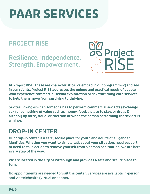# **PAAR SERVICES**

## **PROJECT RISE**

**Resilience. Independence. Strength. Empowerment.**



**At Project RISE, these are characteristics we embed in our programming and see in our clients. Project RISE addresses the unique and practical needs of people who experience commercial sexual exploitation or sex trafficking with services to help them move from surviving to thriving.**

**Sex trafficking is when someone has to perform commercial sex acts (exchange sex for something of value such as money, food, a place to stay, or drugs & alcohol) by force, fraud, or coercion or when the person performing the sex act is a minor.**

### **DROP-IN CENTER**

**Our drop-in center is a safe, secure place for youth and adults of all gender identities. Whether you want to simply talk about your situation, need support, or need to take action to remove yourself from a person or situation, we are here every step of the way.**

**We are located in the city of Pittsburgh and provides a safe and secure place to turn.**

**No appointments are needed to visit the center. Services are available in-person and via telehealth (virtual or phone).**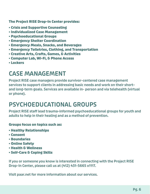**The Project RISE Drop-In Center provides:**

- **Crisis and Supportive Counseling**
- **Individualized Case Management**
- **Psychoeducational Groups**
- **Emergency Shelter Coordination**
- **Emergency Meals, Snacks, and Beverages**
- **Emergency Toiletries, Clothing, and Transportation**
- **Creative Arts, Crafts, Games, & Activities**
- **Computer Lab, Wi-Fi, & Phone Access**
- **Lockers**

## **CASE MANAGEMENT**

**Project RISE case managers provide survivor-centered case management services to support clients in addressing basic needs and work on their short– and long-term goals. Services are available in- person and via telehealth (virtual or phone).**

## **PSYCHOEDUCATIONAL GROUPS**

**Project RISE staff lead trauma-informed psychoeducational groups for youth and adults to help in their healing and as a method of prevention.** 

### **Groups focus on topics such as:**

- **Healthy Relationships**
- **Consent**
- **Boundaries**
- **Online Safety**
- **Health & Wellness**
- **Self-Care & Coping Skills**

**If you or someone you know is interested in connecting with the Project RISE Drop-In Center, please call us at (412) 431-5665 x1117.**

**Visit paar.net for more information about our services.**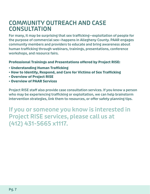### **COMMUNITY OUTREACH AND CASE CONSULTATION**

**For many, it may be surprising that sex trafficking—exploitation of people for the purpose of commercial sex—happens in Allegheny County. PAAR engages community members and providers to educate and bring awareness about human trafficking through webinars, trainings, presentations, conference workshops, and resource fairs.**

**Professional Trainings and Presentations offered by Project RISE:**

- **Understanding Human Trafficking**
- **How to Identify, Respond, and Care for Victims of Sex Trafficking**
- **Overview of Project RISE**
- **Overview of PAAR Services**

**Project RISE staff also provide case consultation services. If you know a person who may be experiencing trafficking or exploitation, we can help brainstorm intervention strategies, link them to resources, or offer safety planning tips.**

**If you or someone you know is interested in Project RISE services, please call us at (412) 431-5665 x1117.**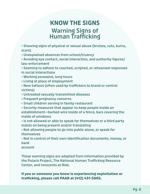### **Warning Signs of Human Trafficking KNOW THE SIGNS**

**• Showing signs of physical or sexual abuse (bruises, cuts, burns, scars)**

**• Unexplained absences from school/truancy**

**• Avoiding eye contact, social interaction, and authority figures/ law enforcement**

**• Seeming to adhere to coached, scripted, or rehearsed responses in social interactions**

**• Working excessive, long hours**

- **Living at place of employment**
- **New tattoos (often used by traffickers to brand or control victims)**
- **Untreated sexually transmitted diseases**
- **Frequent pregnancy concerns**
- **Small children serving in family restaurant**
- **Security measures that appear to keep people inside an establishment—barbed wire inside of a fence, bars covering the inside of windows**

**• Is not allowed or able to speak for themselves or a third party insists on being present and/or translating**

**• Not allowing people to go into public alone, or speak for themselves**

**• Not in control of their own identification documents, money, or bank**

**account**

**These warning signs are adapted from information provided by the Polaris Project, The National Human Trafficking Resource Center, and Innocents at Risk.**

### **If you or someone you know is experiencing exploitation or trafficking, please call PAAR at (412) 431-5665.**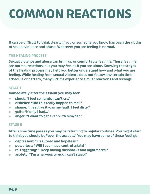# **COMMON REACTIONS**

**It can be difficult to think clearly if you or someone you know has been the victim of sexual violence and abuse. Whatever you are feeling is normal.**

### **THE HEALING PROCESS**

**Sexual violence and abuse can bring up uncomfortable feelings. These feelings are normal reactions, but you may feel as if you are alone. Knowing the stages of the healing process may help you better understand how and what you are feeling. While healing from sexual violence does not follow any certain time schedule or pattern, many victims experience similar reactions and feelings:**

### **STAGE I**

**Immediately after the assault you may feel: Immediately after the assault you may feel:**

- **shock: "I feel so numb, I can't cry." shock: "I feel so numb, I can't cry."**
- **disbelief: "Did this really happen to me?" disbelief: "Did this really happen to me?"**
- **shame: "I feel like it was my fault. I feel dirty." shame: "I feel like it was my fault. I feel dirty."**
- **guilt: "If only I had..." guilt: "If only I had..."**
- **anger: "I want to get even with him/her." anger: "I want to get even with him/her."**

### **STAGE II**

**After some time passes you may be returning to regular routines. You might start to think you should be "over the assault." You may have some of these feelings:**

- **depression: "I feel tired and hopeless."**  $\bullet$
- **powerless: "Will I ever have control again?"**  $\bullet$
- **re-triggering: "I keep having flashbacks and nightmares."**  $\bullet$
- **anxiety: "I'm a nervous wreck. I can't sleep."**  $\overline{\phantom{a}}$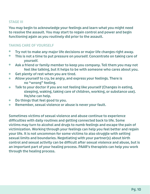### **STAGE III**

**You may begin to acknowledge your feelings and learn what you might need to resolve the assault. You may start to regain control and power and begin functioning again as you routinely did prior to the assault.**

### **TAKING CARE OF YOURSELF**

- $\bullet$ **Try not to make any major life decisions or major life changes right away.**
- $\bullet$ **This is not a time to put pressure on yourself. Concentrate on taking care of yourself.**
- **Ask a friend or family member to keep you company. Tell them you may not**   $\bullet$ **feel like talking, but it helps to be with someone who cares about you.**
- **Get plenty of rest when you are tired.**  $\bullet$
- **Allow yourself to cry, be angry, and express your feelings. There is**  $\bullet$ **no "wrong" feeling.**
- **Talk to your doctor if you are not feeling like yourself (Changes in eating,**   $\bullet$ **sleeping, waking, taking care of children, working, or substance use). He/she can help.**
- **Do things that feel good to you.**  $\bullet$
- **Remember, sexual violence or abuse is never your fault.**  $\bullet$

**Sometimes victims of sexual violence and abuse continue to experience difficulties with daily routines and getting connected back to life. Some victims may turn to alcohol and drugs to numb feelings and escape the pain of victimization. Working through your feelings can help you feel better and regain your life. It is not uncommon for some victims to also struggle with setting sexual limits and boundaries. Negotiating with your partner(s) about birth control and sexual activity can be difficult after sexual violence and abuse, but is an important part of your healing process. PAAR's therapists can help you work through the healing process.**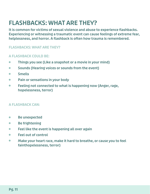## **FLASHBACKS: WHAT ARE THEY?**

**It is common for victims of sexual violence and abuse to experience flashbacks. Experiencing or witnessing a traumatic event can cause feelings of extreme fear, helplessness, and horror. A flashback is often how trauma is remembered.**

### **FLASHBACKS: WHAT ARE THEY?**

### **A FLASHBACK COULD BE:**

- **Things you see (Like a snapshot or a movie in your mind) Things you see (Like a snapshot or a movie in your mind)**
- **Sounds (Hearing voices or sounds from the event) Smells Sounds (Hearing voices or sounds from the event)**
- **•** Smells
- **Fealier 10 In 2018 10 In 2018 10 In 2018 10 In 2018 10:20 In 2018 10:20 In 2018 10:20 In 2018 10:20 In 2018 10:20 In 2019 10:20 In 2019 10:20 In 2019 10:20 In 2019 10:20 In 2019 10:20 In 2019 10:20 In 2019 10:20 In 2019 1**
- **terror) Feeling not connected to what is happening now (Anger, rage, hopelessness, terror)**

### **A FLASHBACK CAN:**

- **Fe Be unexpected**
- **•** Be frightening
- **Make your heart race, make it hard to breathe, or cause you to feel faint Feel like the event is happening all over again**
- **Feel out of control**  $\bullet$
- **Make your heart race, make it hard to breathe, or cause you to feel**   $\bullet$ **fainthopelessness, terror)**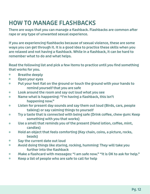# **HOW TO MANAGE FLASHBACKS**

**There are ways that you can manage a flashback. Flashbacks are common after rape or any type of unwanted sexual experience.**

**If you are experiencing flashbacks because of sexual violence, these are some ways you can get through it. It is a good idea to practice these skills when you are relaxed and not having a flashback. While in a flashback, it can be hard to remember what to do and what helps.**

**Read the following list and pick a few items to practice until you find something that works for you.**

- **Breathe deeply**  $\bullet$
- $\bullet$ **Open your eyes**
- **Put your feet flat on the ground or touch the ground with your hands to**   $\bullet$ **remind yourself that you are safe**
- **Look around the room and say out loud what you see**  $\bullet$
- **Name what is happening: "I'm having a flashback, this isn't**   $\bullet$ **happening now."**
- **Listen for present day sounds and say them out loud (Birds, cars, people**   $\bullet$ **talking) or say calming things to yourself**
- **Try a taste that is connected with being safe (Drink coffee, chew gum: Keep**   $\bullet$ **something with you that works)**
- **Use a smell that reminds you of the present (Hand lotion, coffee, mint,**   $\bullet$ **candles)**
- **Hold an object that feels comforting (Key chain, coins, a picture, rocks,**   $\bullet$ **beads)**
- **Say the current date out loud**  $\bullet$
- **Avoid doing things like staring, rocking, humming: They will take you**  $\bullet$ **further into the flashback**
- **Make a flashcard with messages: "I am safe now." "It is OK to ask for help."**  $\bullet$
- **Keep a list of people who are safe to call for help**  $\bullet$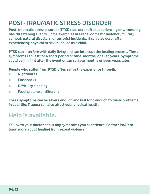# **POST-TRAUMATIC STRESS DISORDER**

**Post-traumatic stress disorder (PTSD) can occur after experiencing or witnessing life-threatening events. Some examples are rape, domestic violence, military combat, natural disasters, or terrorist incidents. It can also occur after experiencing physical or sexual abuse as a child.**

**PTSD can interfere with daily living and can interrupt the healing process. These symptoms can last for a short period of time, months, or even years. Symptoms could begin right after the event or can surface months or even years later.**

**People who suffer from PTSD often relive the experience through:**

- **Nightmares Nightmares**
- **Flashbacks Flashbacks**
- **Difficulty sleeping •** Difficulty sleeping
- **Feeling alone or different**  $\bullet$

**These symptoms can be severe enough and last long enough to cause problems in your life. Trauma can also affect your physical health.** 

## **Help is available.**

**Talk with your doctor about any symptoms you experience. Contact PAAR to learn more about healing from sexual violence.**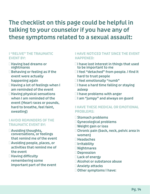## **The checklist on this page could be helpful in talking to your counselor if you have any of these symptoms related to a sexual assault:**

#### **I "RELIVE" THE TRAUMATIC EVENT BY:**

 **Having bad dreams or nightmares Behaving or feeling as if the event were actually happening again Having a lot of feelings when I am reminded of the event Having physical sensations when I am reminded of the event (Heart races or pounds, hard to breathe, feel faint, sweating)**

### **I AVOID REMINDERS OF THE TRAUMATIC EVENT BY:**

 **Avoiding thoughts, conversations, or feelings that remind me of the event Avoiding people, places, or activities that remind me of the event Having difficulty remembering some important part of the event**

### **I HAVE NOTICED THAT SINCE THE EVENT HAPPENED:**

 **I have lost interest in things that used to be important to me I feel "detached" from people. I find it hard to trust people I feel emotionally "numb" I have a hard time falling or staying asleep I have problems with anger I am "jumpy" and always on guard**

### **I HAVE THESE MEDICAL OR EMOTIONAL PROBLEMS:**

 **Stomach problems Gynecological problems Weight gain or loss Chronic pain (back, neck, pelvic area in women) Headaches Irritability Nightmares Depression Lack of energy Alcohol or substance abuse Anxiety attacks Other symptoms I have:**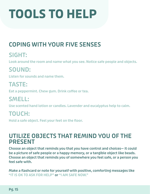# **TOOLS TO HELP**

# **COPING WITH YOUR FIVE SENSES**

# **SIGHT:**

Look around the room and name what you see. Notice safe people and objects.<br>

# $\bullet$  sound:  $\bullet$  sound:  $\bullet$  safe people and objects.

**SOUND:** Listen for sounds and name them.

## **TASTE:**

**coffee or tea. Eat a peppermint. Chew gum. Drink coffee or tea.**

## **SMELL: Use scented hand lotion or candles. SMELL:**

Use scented hand lotion or candles. Lavender and eucalyptus help to calm.

## $\blacksquare$  **TOUCH:**  $\blacksquare$

**the floor. Hold a safe object. Feel your feet on the floor.**

### **UTILIZE OBJECTS THAT REMIND YOU OF THE PRESENT**

**Choose an object that reminds you that you have control and choices— it could be a picture of safe people or a happy memory, or a tangible object like beads. Choose an object that reminds you of somewhere you feel safe, or a person you feel safe with.**

**Make a flashcard or note for yourself with positive, comforting messages like "IT IS OK TO ASK FOR HELP" or "I AM SAFE NOW."**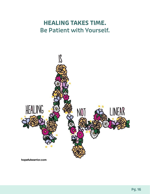## **HEALING TAKES TIME. Be Patient with Yourself.**



hopefulwarrior.com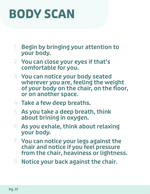# **BODY SCAN**

- **Begin by bringing your attention to your body. 1**
- **You can close your eyes if that's 2 comfortable for you.**
- **You can notice your body seated 3 wherever you are, feeling the weight of your body on the chair, on the floor, or on another space.**
- **Take a few deep breaths. 4**
- **As you take a deep breath, think 5 about brining in oxygen.**
- **As you exhale, think about relaxing 6 your body.**
- **You can notice your legs against the 7 chair and notice if you feel pressure from the chair, heaviness or lightness.**
- **Notice your back against the chair. 8**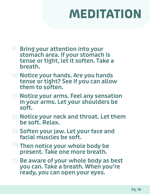# **MEDITATION**

- **9** Bring your attention into your **stomach area. If your stomach is tense or tight, let it soften. Take a breath.**
- **10 Notice your hands. Are you hands tense or tight? See if you can allow them to soften.**
- **11 Notice your arms. Feel any sensation in your arms. Let your shoulders be soft.**
- 12 Notice your neck and throat. Let them **be soft. Relax.**
- **13 Soften your jaw. Let your face and facial muscles be soft.**
- **Then notice your whole body be 14 present. Take one more breath.**
- **15 Be aware of your whole body as best you can. Take a breath. When you're ready, you can open your eyes.**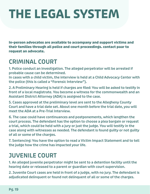# **THE LEGAL SYSTEM**

**In-person advocates are available to accompany and support victims and their families through all police and court proceedings. contact paar to request an advocate.**

## **CRIMINAL COURT**

**1. Police conduct an investigation. The alleged perpetrator will be arrested if probable cause can be determined.**

**In cases with a child victim, the interview is held at a Child Advocacy Center with the police (this is called a "Forensic Interview").**

**2. A Preliminary Hearing is held if charges are filed: You will be asked to testify in front of a local magistrate. You become a witness for the commonwealth and an Assistant District Attorney (ADA) is assigned to the case.**

**5. Cases approved at the preliminary level are sent to the Allegheny County Court and have a trial date set. About one month before the trial date, you will meet the ADA at a Pre-Trial Interview.**

**6. The case could have continuances and postponements, which lengthen the court process. The defendant has the option to choose a plea bargain or request a trial, which could be held with a jury or just the judge. You will testify in the case along with witnesses as needed. The defendant is found guilty or not guilty of all or some of the charges.**

**7. Sentencing: You have the option to read a Victim Impact Statement and to tell the judge how the crime has impacted your life.**

## **JUVENILE COURT**

**1. An alleged juvenile perpetrator might be sent to a detention facility until the hearing date or released to a parent or guardian with court supervision.**

**2. Juvenile Court cases are held in front of a judge, with no jury. The defendant is adjudicated delinquent or found not delinquent of all or some of the charges.**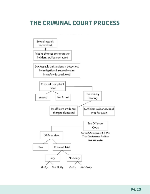## **THE CRIMINAL COURT PROCESS**

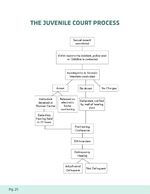## **THE JUVENILE COURT PROCESS**

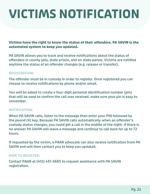# **VICTIMS NOTIFICATION**

**Victims have the right to know the status of their offenders. PA SAVIN is the automated system to keep you updated.**

**PA SAVIN allows you to track and receive notifications about the status of offenders in county jails, state prison, and on state parole. Victims are notified anytime the status of an offender changes (e.g. release or transfer).**

### **REGISTRATION:**

**The offender must be in custody in order to register. Once registered you can choose to receive notifications by phone and/or email.**

**You will be asked to create a four-digit personal identification number (pin) that will be used to confirm the call was received. make sure your pin is easy to remember.**

### **NOTIFICATION:**

**When PA SAVIN calls, listen to the message then enter your PIN followed by the pound (#) key. Because PA SAVIN calls automatically when an offender's custody status changes, you could get a call in the middle of the night. If there is no answer PA SAVIN will leave a message and continue to call back for up to 72 hours.**

**If requested by the victim, a PAAR advocate can also receive notification from PA SAVIN and will then contact you to keep you updated.**

### **HOW TO REGISTER:**

**Contact PAAR at (412) 431-5665 to request assistance with PA SAVIN registration.**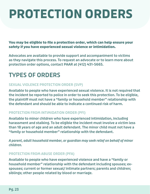# **PROTECTION ORDERS**

**You may be eligible to file a protection order, which can help ensure your safety if you have experienced sexual violence or intimidation.**

**Advocates are available to provide support and accompaniment to victims as they navigate this process. To request an advocate or to learn more about protection order options, contact PAAR at (412) 431-5665.**

## **TYPES OF ORDERS**

### **SEXUAL VIOLENCE PROTECTION ORDER (SVP)**

**Available to people who have experienced sexual violence. It is not required that the incident be reported to police in order to seek this protection. To be eligible, the plaintiff must not have a "family or household member" relationship with the defendant and should be able to indicate a continued risk of harm.**

### **PROTECTION FROM INTIMIDATION ORDER (PFI)**

**Available to minor children who have experienced intimidation, including harassment and stalking. To be eligible the incident must involve a victim less than 18 years of age and an adult defendant. The minor child must not have a "family or household member" relationship with the defendant.**

*A parent, adult household member, or guardian may seek relief on behalf of minor children.*

### **PROTECTION FROM ABUSE ORDER (PFA)**

**Available to people who have experienced violence and have a "family or household member" relationship with the defendant including spouses; exspouses; current or former sexual/ intimate partners; parents and children; siblings; other people related by blood or marriage.**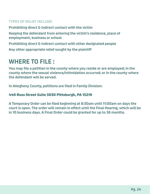### **TYPES OF RELIEF INCLUDE:**

**Prohibiting direct & indirect contact with the victim**

**Keeping the defendant from entering the victim's residence, place of employment, business or school**

**Prohibiting direct & indirect contact with other designated people**

**Any other appropriate relief sought by the plaintiff**

### **WHERE TO FILE :**

**You may file a petition in the county where you reside or are employed; in the county where the sexual violence/intimidation occurred; or in the county where the defendant will be served.**

**In Allegheny County, petitions are filed in Family Division:**

### **440 Ross Street Suite 3030 Pittsburgh, PA 15219**

**A Temporary Order can be filed beginning at 8:30am until 11:00am on days the court is open. The order will remain in effect until the Final Hearing, which will be in 10 business days. A Final Order could be granted for up to 36 months.**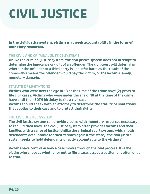# **CIVIL JUSTICE**

**In the civil justice system, victims may seek accountability in the form of monetary resources.**

### **THE CIVIL AND CRIMINAL JUSTICE SYSTEMS**

**Unlike the criminal justice system, the civil justice system does not attempt to determine the innocence or guilt of an offender. The civil court will determine whether the offender or a third party is liable for harm as the result of the crime—this means the offender would pay the victim, or the victim's family, monetary damage.**

### **STATUTE OF LIMITATIONS**

**Victims who were over the age of 18 at the time of the crime have (2) years to file civil cases. Victims who were under the age of 18 at the time of the crime have until their 30TH birthday to file a civil case.**

**Victims should speak with an attorney to determine the statute of limitations that applies to their case and to protect their rights.**

### **THE CIVIL JUSTICE SYSTEM**

**The civil justice system can provide victims with monetary resources necessary to rebuild their lives. The civil justice system often provides victims and their families with a sense of justice. Unlike the criminal court system, which holds defendants accountable for their "crimes against the state," the civil justice system seeks to hold defendants directly accountable to the victim(s).**

**Victims have control in how a case moves through the civil process. It is the victim who chooses whether or not to file a case, accept a settlement offer, or go to trial.**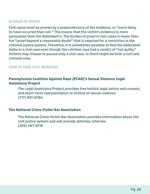#### **BURDEN OF PROOF**

**Civil cases must be proven by a preponderance of the evidence, or "more likely to have occurred than not." This means that the victim's evidence is more persuasive than the defendant's. The burden of proof in civil cases is lower than the "proof beyond a reasonable doubt" that is required for a conviction in the criminal justice system. Therefore, it is sometimes possible to find the defendant liable in a civil case even though the criminal case had a verdict of "not guilty." Victims may choose to pursue only a civil case, or there might be both a civil and criminal case.**

#### **HOW TO SEEK CIVIL REMEDIES**

### **Pennsylvania Coalition Against Rape (PCAR)'s Sexual Violence Legal Assistance Project**

**The Legal Assistance Project provides free holistic legal advice and counsel, and The Legal Assistance Project provides free holistic legal advice and counsel, short-term representation to victims of sexual violence. and short-term representation to victims of sexual violence. (717) 901-6784 (717) 901-6784**

#### **The National Crime Victim Bar Association**

**The National Crime Victim Bar Association provides information about the civil justice system and will provide attorney referrals. (202) 467-8716**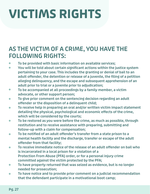# **VICTIMS RIGHTS**

## **AS THE VICTIM OF A CRIME, YOU HAVE THE FOLLOWING RIGHTS:**

- **To be provided with basic information on available services;**
- **You will be told about certain significant actions within the justice system**   $\bullet$ **pertaining to your case. This includes the granting or denial of bail to an adult offender, the detention or release of a juvenile, the filing of a petition alleging delinquency, and the escape and subsequent apprehension of an adult prior to trial or a juvenile prior to adjudication;**
- **To be accompanied at all proceedings by a family member, a victim**   $\bullet$ **advocate, or other support person;**
- **To give prior comment on the sentencing decision regarding an adult**   $\bullet$ **offender or the disposition of a delinquent child;**
- **To receive help in preparing an oral and/or written victim impact statement**   $\bullet$ **detailing the physical, psychological and economic effects of the crime, which will be considered by the courts;**
- **To be restored as you were before the crime, as much as possible, through**   $\bullet$ **restitution and to receive assistance with preparing, submitting and follow-up with a claim for compensation;**
- **To be notified of an adult offender's transfer from a state prison to a**   $\bullet$ **mental health facility and the discharge, transfer or escape of the adult offender from that facility;**
- **To receive immediate notice of the release of an adult offender on bail who**   $\bullet$ **is incarcerated in a local prison for a violation of a Protection From Abuse (PFA) order, or for a personal injury crime committed against the victim protected by the PFA;**
- **To have property returned that was seized as evidence, but is no longer**   $\bullet$ **needed for prosecution;**
- **To have notice and to provide prior comment on a judicial recommendation**   $\bullet$ **that the defendant participate in a motivational boot camp;**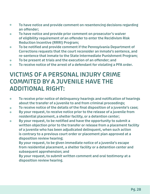- **To have notice and provide comment on resentencing decisions regarding**   $\bullet$ **an offender;**
- **To have notice and provide prior comment on prosecutor's waiver**   $\bullet$ **of eligibility requirement of an offender to enter the Recidivism Risk Reduction Incentive (RRRI) Program;**
- **To be notified and provide comment if the Pennsylvania Department of**   $\bullet$ **Corrections requests that the court reconsider an inmate's sentence, and re-sentence that inmate to the State Intermediate Punishment Program;**
- **To be present at trials and the execution of an offender; and**  $\bullet$
- **To receive notice of the arrest of a defendant for violating a PFA order.**  $\bullet$

#### THIS OF A FERSONAL INSONT CRIME **THE COMMITED BY A JUVENILE HAVE THE ADDITIONAL RIGHT: VICTIMS OF A PERSONAL INJURY CRIME COMMITED BY A JUVENILE HAVE THE ADDITIONAL RIGHT:**

- **To receive prior notice of delinquency hearings and notification of hearings**   $\bullet$ **about the transfer of a juvenile to and from criminal proceedings;**
- **To receive notice of the details of the final disposition of a juvenile's case;**  $\bullet$
- **By your request, to receive notice prior to the release of a juvenile from**   $\bullet$ **residential placement, a shelter facility, or a detention center;**
- **By your request, to be notified and have the opportunity to submit a**   $\bullet$ **written objection prior to the transfer or release from a placement facility of a juvenile who has been adjudicated delinquent, when such action is contrary to a previous court order or placement plan approved at a disposition review hearing;**

**By your request, to be given immediate notice of a juvenile's escape from residential placement, a shelter facility or a detention center and subsequent apprehension; and**

**By your request, to submit written comment and oral testimony at a disposition review hearing.**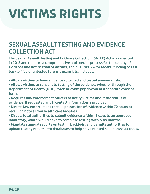# **VICTIMS RIGHTS**

## **SEXUAL ASSAULT TESTING AND EVIDENCE COLLECTION ACT**

**The Sexual Assault Testing and Evidence Collection (SATEC) Act was enacted in 2015 and requires a comprehensive and precise process for the testing of evidence and notification of victims, and qualifies PA for federal funding to test backlogged or untested forensic exam kits. Includes:**

**• Allows victims to have evidence collected and tested anonymously.**

**• Allows victims to consent to testing of the evidence, whether through the Department of Health (DOH) forensic exam paperwork or a separate consent form.**

**• Requires law enforcement officers to notify victims about the status of evidence, if requested and if contact information is provided.**

**• Directs law enforcement to take possession of evidence within 72 hours of receiving notice from health care facilities.**

**• Directs local authorities to submit evidence within 15 days to an approved laboratory, which would have to complete testing within six months.**

**• Mandates annual reports on testing backlogs, and permits authorities to upload testing results into databases to help solve related sexual assault cases.**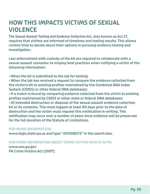### **HOW THIS IMPACTS VICTIMS OF SEXUAL VIOLENCE**

**T***he Sexual Assault Testing and Evidence Collection Act***, also known as Act 27, requires that victims are informed of timelines and testing results. This allows victims time to decide about their options in pursuing evidence testing and investigation.**

**Law enforcement with custody of the kit are required to collaborate with a sexual assault counselor to employ best practices when notifying a victim of the following information:**

**• When the kit is submitted to the lab for testing;**

**• When the lab has received a request to compare the evidence collected from the victim's kit to existing profiles maintained by the Combined DNA Index System (CODIS) or other federal DNA databases;**

**• If a match is found by comparing evidence collected from the victim to existing profiles maintained by CODIS or other state or federal DNA databases; • Of intended destruction or disposal of the sexual assault evidence collection kit or its contents. This must happen at least 60 days prior to the date of destruction and the victim must request this notification in writing. This notification may occur over a number of years since evidence will be preserved for the full duration of the Statute of Limitations.**

### **FOR MORE INFORMATION:**

**www.legis.state.pa.us and type "2015HB272" in the search box.**

### **FOR MORE INFORMATION ABOUT CRIME VICTIMS RIGHTS IN PA:**

**www.ova.pa.gov PA Crime Victims Act (2007)**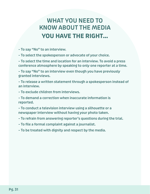# **WHAT YOU NEED TO KNOW ABOUT THE MEDIA YOU HAVE THE RIGHT...**

**– To say "No" to an interview.**

**– To select the spokesperson or advocate of your choice.**

**– To select the time and location for an interview. To avoid a press conference atmosphere by speaking to only one reporter at a time.**

**– To say "No" to an interview even though you have previously granted interviews.**

**– To release a written statement through a spokesperson instead of an interview.**

**– To exclude children from interviews.**

**– To demand a correction when inaccurate information is reported.**

**– To conduct a television interview using a silhouette or a newspaper interview without having your photo taken.**

**– To refrain from answering reporter's questions during the trial.**

- **To file a formal complaint against a journalist.**
- **To be treated with dignity and respect by the media.**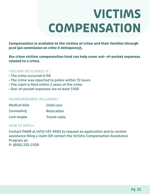# **VICTIMS COMPENSATION**

**Compensation is available to the victims of crime and their families through pccd (***pa commission on crime & delinquency***).**

**the crime victims compensation fund can help cover out- of-pocket expenses related to a crime.**

### **YOU MAY BE ELIGIBLE IF :**

- **The crime occurred in PA**
- **The crime was reported to police within 72 hours**
- **The claim is filed within 2 years of the crime**
- **Out-of-pocket expenses are at least \$100**

#### **REIMBURSEMENT INCLUDING :**

| <b>Medical bills</b> | <b>Child care</b>   |
|----------------------|---------------------|
| <b>Counseling</b>    | <b>Relocation</b>   |
| Lost wages           | <b>Travel costs</b> |

#### **HOW TO APPLY :**

**Contact PAAR at (412) 431-5665 to request an application and to receive assistance filing a claim OR contact the Victims Compensation Assistance Program at: P: (800) 233-2339**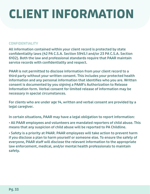# **CLIENT INFORMATION**

### **CONFIDENTIALITY**

**All information contained within your client record is protected by state confidentiality laws (42 PA C.S.A. Section 5945.1 and/or 23 PA C.S.A. Section 6102). Both the law and professional standards require that PAAR maintain service records with confidentiality and respect.**

**PAAR is not permitted to disclose information from your client record to a third party without your written consent. This includes your protected health information and any personal information that identifies who you are. Written consent is documented by you signing a PAAR's Authorization to Release Information form. Verbal consent for limited release of information may be necessary in special circumstances.**

**For clients who are under age 14, written and verbal consent are provided by a legal caregiver.**

**In certain situations, PAAR may have a legal obligation to report information:**

**• All PAAR employees and volunteers are mandated reporters of child abuse. This means that any suspicion of child abuse will be reported to PA Childline.**

**• Safety is a priority at PAAR. PAAR employees will take action to prevent harm if you disclose a plan to harm yourself or someone else. To ensure the safety of everyone, PAAR staff will disclose the relevant information to the appropriate law enforcement, medical, and/or mental health professionals to maintain safety.**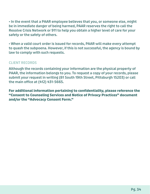**• In the event that a PAAR employee believes that you, or someone else, might be in immediate danger of being harmed, PAAR reserves the right to call the Resolve Crisis Network or 911 to help you obtain a higher level of care for your safety or the safety of others.**

**• When a valid court order is issued for records, PAAR will make every attempt to quash the subpoena. However, if this is not successful, the agency is bound by law to comply with such requests.**

### **CLIENT RECORDS**

**Although the records containing your information are the physical property of PAAR, the information belongs to you. To request a copy of your records, please submit your request in writing (81 South 19th Street, Pittsburgh 15203) or call the main office at (412) 431-5665.**

**For additional information pertaining to confidentiality, please reference the "Consent to Counseling Services and Notice of Privacy Practices" document and/or the "Advocacy Consent Form."**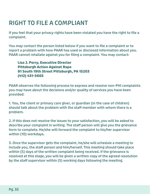# **RIGHT TO FILE A COMPLIANT**

**If you feel that your privacy rights have been violated you have the right to file a complaint.**

**You may contact the person listed below if you want to file a complaint or to report a problem with how PAAR has used or disclosed information about you. PAAR cannot retaliate against you for filing a complaint. You may contact:**

**Lisa J. Perry, Executive Director Lisa J. Perry, Executive Director Pittsburgh Action Against Rape Pittsburgh Action Against Rape 81 South 19th Street Pittsburgh, PA 15203 81 South 19th Street Pittsburgh, PA 15203 (412) 431-5665 (412) 431-5665**

**PAAR observes the following process to express and resolve non-PHI complaints you may have about the decisions and/or quality of services you have been provided:**

**1. You, the client or primary care giver, or guardian (in the case of children) should talk about the problem with the staff member with whom there is a problem.**

**2. If this does not resolve the issues to your satisfaction, you will be asked to describe your complaint in writing. The staff person will give you the grievance form to complete. He/she will forward the complaint to his/her supervisor within (10) workdays.**

**3. Once the supervisor gets the complaint, he/she will schedule a meeting to include you, the staff person and him/herself. This meeting should take place within (5) days of the written complaint being received. If the grievance is resolved at this stage, you will be given a written copy of the agreed resolution by the staff supervisor within (5) working days following the meeting.**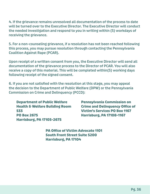**4. If the grievance remains unresolved all documentation of the process to date will be turned over to the Executive Director. The Executive Director will conduct the needed investigation and respond to you in writing within (5) workdays of receiving the grievance.**

**5. For a non-counseling grievance, if a resolution has not been reached following this process, you may pursue resolution through contacting the Pennsylvania Coalition Against Rape (PCAR).**

**Upon receipt of a written consent from you, the Executive Director will send all documentation of the grievance process to the Director of PCAR. You will also receive a copy of this material. This will be completed within(5) working days following receipt of the signed consent.**

**6. If you are not satisfied with the resolution at this stage, you may appeal the decision to the Department of Public Welfare (DPW) or the Pennsylvania Commission on Crime and Delinquency (PCCD):**

**Department of Public Welfare Health & Welfare Building Room 533 PO Box 2675 Harrisburg, PA 17105-2675**

**Pennsylvania Commission on Crime and Delinquency Office of Victim's Services PO Box 1167 Harrisburg, PA 17108-1167**

**PA Office of Victim Advocate 1101 South Front Street Suite 5200 Harrisburg, PA 17104**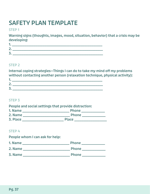# **SAFETY PLAN TEMPLATE**

### **STEP 1**

**Warning signs (thoughts, images, mood, situation, behavior) that a crisis may be developing:**

| - |  |
|---|--|
|   |  |
|   |  |

### **STEP 2**

**Internal coping strategies—Things I can do to take my mind off my problems without contacting another person (relaxation technique, physical activity): 1. \_\_\_\_\_\_\_\_\_\_\_\_\_\_\_\_\_\_\_\_\_\_\_\_\_\_\_\_\_\_\_\_\_\_\_\_\_\_\_\_\_\_\_\_\_\_\_\_\_\_** 

| .     |  |
|-------|--|
| ÷     |  |
| e e c |  |

### **STEP 3**

| People and social settings that provide distraction: |              |  |
|------------------------------------------------------|--------------|--|
| 1. Name                                              | <b>Phone</b> |  |
| 2. Name                                              | <b>Phone</b> |  |
| 3. Place                                             | <b>Place</b> |  |

### **STEP 4**

**People whom I can ask for help:**

| 1. Name | <b>Phone</b> |
|---------|--------------|
| 2. Name | <b>Phone</b> |
| 3. Name | <b>Phone</b> |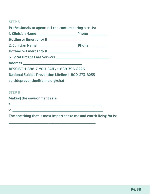### **STEP 5**

| Professionals or agencies I can contact during a crisis:   |  |  |
|------------------------------------------------------------|--|--|
|                                                            |  |  |
| Hotline or Emergency # ____________________                |  |  |
|                                                            |  |  |
| Hotline or Emergency # ___________________                 |  |  |
|                                                            |  |  |
|                                                            |  |  |
| RESOLVE 1-888-7-YOU-CAN / 1-888-796-8226                   |  |  |
| <b>National Suicide Prevention Lifeline 1-800-273-8255</b> |  |  |
| suicidepreventionlifeline.org/chat                         |  |  |
|                                                            |  |  |
| <b>STEP 6</b>                                              |  |  |

**1. \_\_\_\_\_\_\_\_\_\_\_\_\_\_\_\_\_\_\_\_\_\_\_\_\_\_\_\_\_\_\_\_\_\_\_\_\_\_\_\_\_\_\_\_\_\_\_\_\_\_**

**The one thing that is most important to me and worth living for is:**

**2. \_\_\_\_\_\_\_\_\_\_\_\_\_\_\_\_\_\_\_\_\_\_\_\_\_\_\_\_\_\_\_\_\_\_\_\_\_\_\_\_\_\_\_\_\_\_\_\_\_\_**

**\_\_\_\_\_\_\_\_\_\_\_\_\_\_\_\_\_\_\_\_\_\_\_\_\_\_\_\_\_\_\_\_\_\_\_\_\_\_\_\_\_\_\_\_\_\_\_\_**

**Making the environment safe:**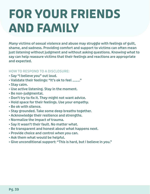# **FOR YOUR FRIENDS AND FAMILY**

**Many victims of sexual violence and abuse may struggle with feelings of guilt, shame, and sadness. Providing comfort and support to victims can often mean just listening without judgment and without asking questions. Knowing what to say can help reassure victims that their feelings and reactions are appropriate and expected.**

### **HOW TO RESPOND TO A DISCLOSURE:**

- **Say "I believe you" out loud.**
- **Validate their feelings: "It's ok to feel \_\_\_\_."**
- **Stay calm.**
- **Use active listening. Stay in the moment.**
- **Be non-judgmental.**
- **Don't try to fix it. They might not want advice.**
- **Hold space for their feelings. Use your empathy.**
- **Be ok with silence.**
- **Stay grounded. Take some deep breaths together.**
- **Acknowledge their resilience and strengths.**
- **Normalize the impact of trauma.**
- **Say it wasn't their fault. No matter what.**
- **Be transparent and honest about what happens next.**
- **Provide choice and control when you can.**
- **Ask them what would be helpful.**
- **Give unconditional support: "This is hard, but I believe in you."**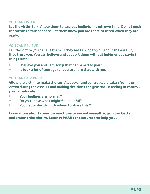#### **YOU CAN LISTEN**

**Let the victim talk. Allow them to express feelings in their own time. Do not push the victim to talk or share. Let them know you are there to listen when they are ready.**

#### **YOU CAN BELIEVE**

**Tell the victim you believe them. If they are talking to you about the assault, they trust you. You can believe and support them without judgment by saying things like:**

- **"I believe you and I am sorry that happened to you." "I believe you and I am sorry that happened to you."**
- **"It took a lot of courage for you to share that with me." "It took a lot of courage for you to share that with me."**

#### **YOU CAN EMPOWER**

**Allow the victim to make choices. All power and control were taken from the victim during the assault and making decisions can give back a feeling of control. you can educate**

- **"Your feelings are normal." "Your feelings are normal."**
- **"Do you know what might feel helpful?" "Do you know what might feel helpful?"**
- **"You get to decide with whom to share this." "You get to decide with whom to share this."**

#### **Learn more about common reactions to sexual assault so you can better understand the victim. Contact PAAR for resources to help you.**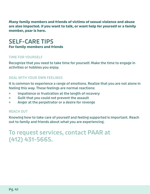**Many family members and friends of victims of sexual violence and abuse are also impacted. if you want to talk, or want help for yourself or a family member, paar is here.**

### **SELF-CARE TIPS For family members and friends**

### **TIME FOR YOURSELF**

**Recognize that you need to take time for yourself. Make the time to engage in activities or hobbies you enjoy.**

### **DEAL WITH YOUR OWN FEELINGS**

**It is common to experience a range of emotions. Realize that you are not alone in feeling this way. These feelings are normal reactions:**

- **Impatience or frustration at the length of recovery Impatience or frustration at the length of recovery**
- **Guilt that you could not prevent the assault Guilt that you could not prevent the assault**
- **Anger at the perpetrator or a desire for revenge Anger at the perpetrator or a desire for revenge**

### **REACH OUT**

**Knowing how to take care of yourself and feeling supported is important. Reach out to family and friends about what you are experiencing.** 

### **To request services, contact PAAR at (412) 431-5665.**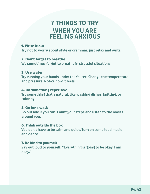### **7 THINGS TO TRY WHEN YOU ARE FEELING ANXIOUS**

#### **1. Write it out**

**Try not to worry about style or grammar, just relax and write.**

### **2. Don't forget to breathe**

**We sometimes forgot to breathe in stressful situations.**

#### **3. Use water**

**Try running your hands under the faucet. Change the temperature and pressure. Notice how it feels.**

#### **4. Do something repetitive**

**Try something that's natural, like washing dishes, knitting, or coloring.**

#### **5. Go for a walk**

**Go outside if you can. Count your steps and listen to the noises around you.**

#### **6. Think outside the box**

**You don't have to be calm and quiet. Turn on some loud music and dance.**

#### **7. Be kind to yourself**

**Say out loud to yourself: "Everything is going to be okay. I am okay."**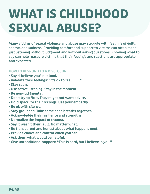# **WHAT IS CHILDHOOD SEXUAL ABUSE?**

**Many victims of sexual violence and abuse may struggle with feelings of guilt, shame, and sadness. Providing comfort and support to victims can often mean just listening without judgment and without asking questions. Knowing what to say can help reassure victims that their feelings and reactions are appropriate and expected.**

### **HOW TO RESPOND TO A DISCLOSURE:**

- **Say "I believe you" out loud.**
- **Validate their feelings: "It's ok to feel \_\_\_\_."**
- **Stay calm.**
- **Use active listening. Stay in the moment.**
- **Be non-judgmental.**
- **Don't try to fix it. They might not want advice.**
- **Hold space for their feelings. Use your empathy.**
- **Be ok with silence.**
- **Stay grounded. Take some deep breaths together.**
- **Acknowledge their resilience and strengths.**
- **Normalize the impact of trauma.**
- **Say it wasn't their fault. No matter what.**
- **Be transparent and honest about what happens next.**
- **Provide choice and control when you can.**
- **Ask them what would be helpful.**
- **Give unconditional support: "This is hard, but I believe in you."**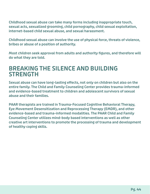**Childhood sexual abuse can take many forms including inappropriate touch, sexual acts, sexualized grooming, child pornography, child sexual exploitation, internet-based child sexual abuse, and sexual harassment.**

**Childhood sexual abuse can involve the use of physical force, threats of violence, bribes or abuse of a position of authority.**

**Most children seek approval from adults and authority figures, and therefore will do what they are told.**

### **BREAKING THE SILENCE AND BUILDING STRENGTH**

**Sexual abuse can have long-lasting effects, not only on children but also on the entire family. The Child and Family Counseling Center provides trauma-informed and evidence-based treatment to children and adolescent survivors of sexual abuse and their families.**

**PAAR therapists are trained in Trauma-Focused Cognitive Behavioral Therapy, Eye Movement Desensitization and Reprocessing Therapy (EMDR), and other evidence-based and trauma-informed modalities. The PAAR Child and Family Counseling Center utilizes mind-body based interventions as well as other creative art interventions to promote the processing of trauma and development of healthy coping skills.**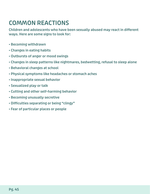## **COMMON REACTIONS**

**Children and adolescents who have been sexually abused may react in different ways. Here are some signs to look for:**

- **Becoming withdrawn**
- **Changes in eating habits**
- **Outbursts of anger or mood swings**
- **Changes in sleep patterns like nightmares, bedwetting, refusal to sleep alone**
- **Behavioral changes at school**
- **Physical symptoms like headaches or stomach aches**
- **Inappropriate sexual behavior**
- **Sexualized play or talk**
- **Cutting and other self-harming behavior**
- **Becoming unusually secretive**
- **Difficulties separating or being "clingy"**
- **Fear of particular places or people**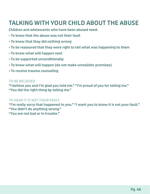## **TALKING WITH YOUR CHILD ABOUT THE ABUSE**

**Children and adolescents who have been abused need:**

- **To know that the abuse was not their fault**
- **To know that they did nothing wrong**
- **To be reassured that they were right to tell what was happening to them**
- **To know what will happen next**
- **To be supported unconditionally**
- **To know what will happen (do not make unrealistic promises)**
- **To receive trauma counseling**

### **TO BE BELIEVED**

**"I believe you and I'm glad you told me." "I'm proud of you for telling me." "You did the right thing by telling me."**

### **TO HEAR IT IS NOT THEIR FAULT**

**"I'm really sorry that happened to you." "I want you to know it is not your fault." "You didn't do anything wrong." "You are not bad or in trouble."**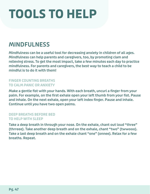# **TOOLS TO HELP**

## **MINDFULNESS**

**Mindfulness can be a useful tool for decreasing anxiety in children of all ages. Mindfulness can help parents and caregivers, too, by promoting clam and relieving stress. To get the most impact, take a few minutes each day to practice mindfulness. For parents and caregivers, the best way to teach a child to be mindful is to do it with them!**

### **FINGER COUNTING BREATHS TO CALM PANIC OR ANXIETY**

**Make a gentle fist with your hands. With each breath, uncurl a finger from your palm. For example, on the first exhale open your left thumb from your fist. Pause and inhale. On the next exhale, open your left index finger. Pause and inhale. Continue until you have two open palms.**

### **DEEP BREATHS BEFORE BED TO HELP WITH SLEEP**

**Take a deep breath in through your nose. On the exhale, chant out loud "three" (thrreee). Take another deep breath and on the exhale, chant "two" (twwooo). Take a last deep breath and on the exhale chant "one" (onnee). Relax for a few breaths. Repeat.**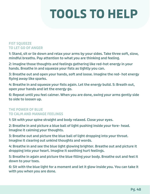# **TOOLS TO HELP**

### **FIST SQUEEZE TO LET GO OF ANGER**

**1: Stand, sit or lie down and relax your arms by your sides. Take three soft, slow, mindful breaths. Pay attention to what you are thinking and feeling.**

**2: Imagine those thoughts and feelings gathering like red-hot energy in your hands. Breathe in and squeeze your fists as tightly you can.**

**3: Breathe out and open your hands, soft and loose. Imagine the red- hot energy flying away like sparks.**

**4: Breathe in and squeeze your fists again. Let the energy build. 5: Breath out, open your hands and let the energy go.**

**6: Repeat until you feel calmer. When you are done, swing your arms gently side to side to loosen up.**

### **THE POWER OF BLUE TO CALM AND MANAGE FEELINGS**

**1: Sit with your spine straight and body relaxed. Close your eyes.**

**2: Breathe in and picture a blue ball of light pushing inside your fore- head. Imagine it calming your thoughts.**

**3: Breathe out and picture the blue ball of light dropping into your throat. Imagine it clearing out unkind thoughts and words.**

**4: Breathe in and see the blue light glowing brighter. Breathe out and picture it dropping into your heart. Imagine it soothing hurt feelings.** 

**5: Breathe in again and picture the blue filling your body. Breathe out and feel it down to your toes.**

**6: Sit with the blue light for a moment and let it glow inside you. You can take it with you when you are done.**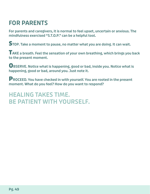# **FOR PARENTS**

**For parents and caregivers, it is normal to feel upset, uncertain or anxious. The mindfulness exercised "S.T.O.P." can be a helpful tool.**

**STOP. Take a moment to pause, no matter what you are doing. It can wait.**

**TAKE a breath. Feel the sensation of your own breathing, which brings you back to the present moment.**

**OBSERVE. Notice what is happening, good or bad, inside you. Notice what is happening, good or bad, around you. Just note it.**

**PROCEED. You have checked in with yourself. You are rooted in the present moment. What do you feel? How do you want to respond?**

### **HEALING TAKES TIME. BE PATIENT WITH YOURSELF.**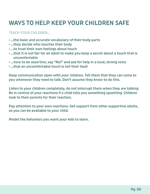# **WAYS TO HELP KEEP YOUR CHILDREN SAFE**

### **TEACH YOUR CHILDREN...**

- **...the basic and accurate vocabulary of their body parts**
- **...they decide who touches their body**
- **...to trust their own feelings about touch**
- **...that it is not fair for an adult to make you keep a secret about a touch that is uncomfortable**
- **...how to be assertive, say "No!" and ask for help in a loud, strong voice**
- **...that an uncomfortable touch is not their fault**

**Keep communication open with your children. Tell them that they can come to you whenever they need to talk. Don't assume they know to do this.**

**Listen to your children completely, do not interrupt them when they are talking. Be in control of your reactions if a child tells you something upsetting. Children look to their parents for their reaction.**

**Pay attention to your own reactions. Get support from other supportive adults, so you can be available to your child.**

**Model the behaviors you want your kids to learn.**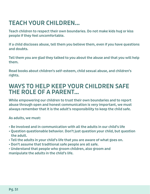# **TEACH YOUR CHILDREN...**

**Teach children to respect their own boundaries. Do not make kids hug or kiss people if they feel uncomfortable.**

**If a child discloses abuse, tell them you believe them, even if you have questions and doubts.**

**Tell them you are glad they talked to you about the abuse and that you will help them.**

**Read books about children's self-esteem, child sexual abuse, and children's rights.**

### **WAYS TO HELP KEEP YOUR CHILDREN SAFE THE ROLE OF A PARENT...**

**While empowering our children to trust their own boundaries and to report abuse through open and honest communication is very important, we must always remember that it is the adult's responsibility to keep the child safe.** 

**As adults, we must:**

- **Be involved and in communication with all the adults in our child's life**
- **Question questionable behavior. Don't just question your child, but question the adult.**
- **Tell the adults in your child's life that you are aware of what goes on.**
- **Don't assume that traditional safe people are all safe.**
- **Understand that people who groom children, also groom and manipulate the adults in the child's life.**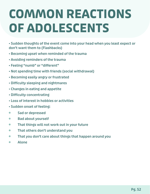# **COMMON REACTIONS OF ADOLESCENTS**

**• Sudden thoughts of the event come into your head when you least expect or don't want them to (Flashbacks)**

- **Becoming upset when reminded of the trauma**
- **Avoiding reminders of the trauma**
- **Feeling "numb" or "different"**
- **Not spending time with friends (social withdrawal)**
- **Becoming easily angry or frustrated**
- **Difficulty sleeping and nightmares**
- **Changes in eating and appetite**
- **Difficulty concentrating**
- **Loss of interest in hobbies or activities**
- **Sudden onset of feeling:**
- $\blacksquare$ **Sad or depressed**
- **Bad about yourself**   $\blacksquare$
- **That things will not work out in your future**  $\blacksquare$
- **That others don't understand you**  $\bullet$
- **That you don't care about things that happen around you**  $\blacksquare$
- **Alone**  $\bullet$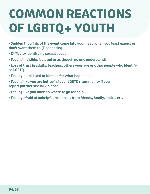# **COMMON REACTIONS OF LGBTQ+ YOUTH**

**• Sudden thoughts of the event come into your head when you least expect or don't want them to (Flashbacks)**

- **Difficulty identifying sexual abuse**
- **Feeling invisible, isolated or as though no one understands**
- **Loss of trust in adults, teachers, others your age or other people who identify as LGBTQ+**
- **Feeling humiliated or blamed for what happened**
- **Feeling like you are betraying your LGBTQ+ community if you report partner sexual violence**
- **Feeling like you have no where to go for help**
- **Feeling afraid of unhelpful responses from friends, family, police, etc.**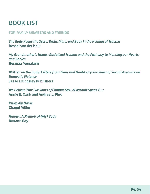# **BOOK LIST**

### **FOR FAMILY MEMBERS AND FRIENDS**

*The Body Keeps the Score: Brain, Mind, and Body in the Healing of Trauma* **Bessel van der Kolk**

*My Grandmother's Hands: Racialized Trauma and the Pathway to Mending our Hearts and Bodies* **Resmaa Menakem**

*Written on the Body: Letters from Trans and Nonbinary Survivors of Sexual Assault and Domestic Violence* **Jessica Kingsley Publishers**

*We Believe You: Survivors of Campus Sexual Assault Speak Out* **Annie E. Clark and Andrea L. Pino**

*Know My Name* **Chanel Miller**

*Hunger: A Memoir of (My) Body* **Roxane Gay**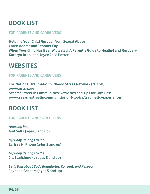## **BOOK LIST**

### **FOR PARENTS AND CAREGIVERS**

**Helpline Your Child Recover from Sexual Abuse Caren Adams and Jennifer Fay When Your Child Has Been Molested: A Parent's Guide to Healing and Recovery Kathryn Brohl and Joyce Case Potter**

### **WEBSITES**

### **FOR PARENTS AND CAREGIVERS**

**The National Traumatic Childhood Stress Network (NTCSN): www.nctsn.org Sesame Street in Communities: Activities and Tips for Families: www.sesamestreetincommunities.org/topics/traumatic-experiences**

## **BOOK LIST**

### **FOR PARENTS AND CAREGIVERS**

*Amazing You* **Gail Saltz (ages 3 and up)**

*My Body Belongs to Me!* **Larissa H. Rhone (ages 3 and up)**

*My Body Belongs to Me* **Jill Starishevsky (ages 5 and up)**

*Let's Talk about Body Boundaries, Consent, and Respect* **Jayneen Sanders (ages 5 and up)**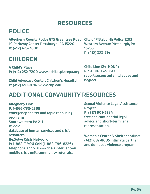## **RESOURCES**

## **POLICE**

**Allegheny County Police 875 Greentree Road City of Pittsburgh Police 1203 10 Parkway Center Pittsburgh, PA 15220 P: (412) 473-3000**

## **CHILDREN**

**A Child's Place P: (412) 232-7200 www.achildsplacepa.org**

**Child Advocacy Center, Children's Hospital P: (412) 692-8747 www.chp.edu**

**Western Avenue Pittsburgh, PA 15233 P: (412) 323-7141**

**Child Line (24-HOUR) P: 1-800-932-0313 report suspected child abuse and neglect.**

## **ADDITIONAL COMMUNITY RESOURCES**

**Allegheny Link P: 1-866-730-2368 emergency shelter and rapid rehousing programs. Southwestern PA 211 P: 2-1-1 database of human services and crisis resources. Re:Solve Crisis Network P: 1-888-7-YOU CAN (1-888-796-8226) telephone and walk-in crisis intervention. mobile crisis unit. community referrals.**

**Sexual Violence Legal Assistance Project P: (717) 901-6784 free and confidential legal advice and short-term legal representation.**

**Women's Center & Shelter hotline: (412) 687-8005 intimate partner and domestic violence program**